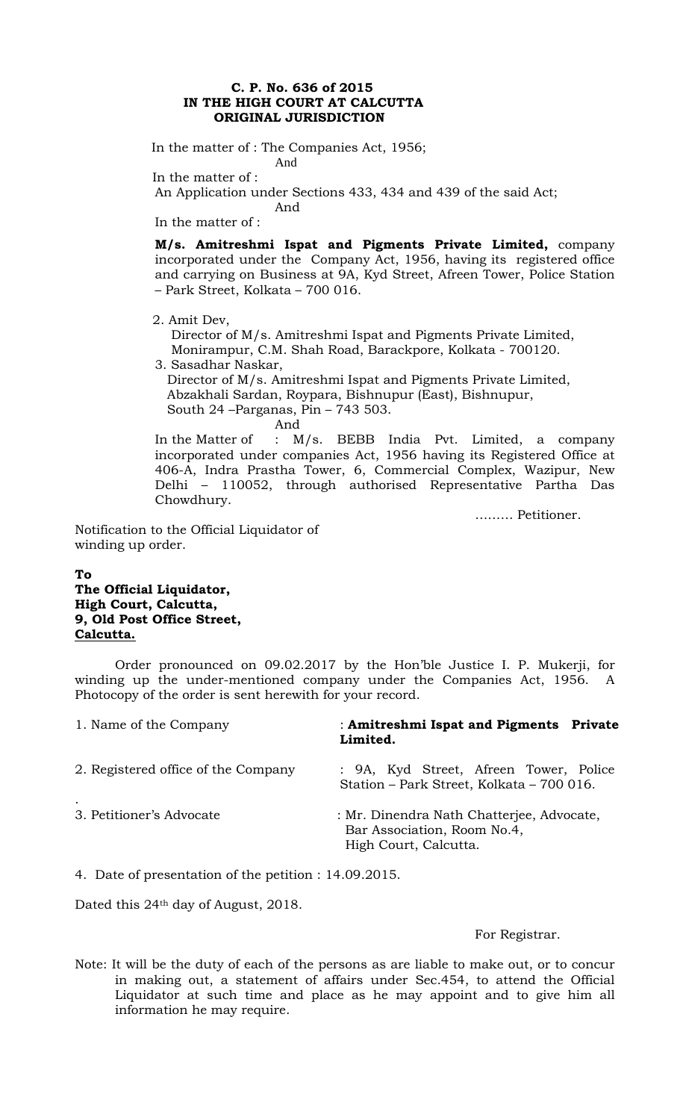### **C. P. No. 636 of 2015 IN THE HIGH COURT AT CALCUTTA ORIGINAL JURISDICTION**

 In the matter of : The Companies Act, 1956; And

In the matter of :

An Application under Sections 433, 434 and 439 of the said Act;

And

In the matter of :

**M/s. Amitreshmi Ispat and Pigments Private Limited,** company incorporated under the Company Act, 1956, having its registered office and carrying on Business at 9A, Kyd Street, Afreen Tower, Police Station – Park Street, Kolkata – 700 016.

2. Amit Dev,

 Director of M/s. Amitreshmi Ispat and Pigments Private Limited, Monirampur, C.M. Shah Road, Barackpore, Kolkata - 700120.

3. Sasadhar Naskar,

 Director of M/s. Amitreshmi Ispat and Pigments Private Limited, Abzakhali Sardan, Roypara, Bishnupur (East), Bishnupur, South 24 –Parganas, Pin – 743 503.

And

In the Matter of : M/s. BEBB India Pvt. Limited, a company incorporated under companies Act, 1956 having its Registered Office at 406-A, Indra Prastha Tower, 6, Commercial Complex, Wazipur, New Delhi – 110052, through authorised Representative Partha Das Chowdhury.

……… Petitioner.

Notification to the Official Liquidator of winding up order.

# **To The Official Liquidator, High Court, Calcutta, 9, Old Post Office Street, Calcutta.**

Order pronounced on 09.02.2017 by the Hon'ble Justice I. P. Mukerji, for winding up the under-mentioned company under the Companies Act, 1956. A Photocopy of the order is sent herewith for your record.

| 1. Name of the Company              | : Amitreshmi Ispat and Pigments Private<br>Limited.                                               |
|-------------------------------------|---------------------------------------------------------------------------------------------------|
| 2. Registered office of the Company | : 9A, Kyd Street, Afreen Tower, Police<br>Station – Park Street, Kolkata – 700 016.               |
| 3. Petitioner's Advocate            | : Mr. Dinendra Nath Chatterjee, Advocate,<br>Bar Association, Room No.4,<br>High Court, Calcutta. |

4. Date of presentation of the petition : 14.09.2015.

Dated this 24th day of August, 2018.

For Registrar.

Note: It will be the duty of each of the persons as are liable to make out, or to concur in making out, a statement of affairs under Sec.454, to attend the Official Liquidator at such time and place as he may appoint and to give him all information he may require.